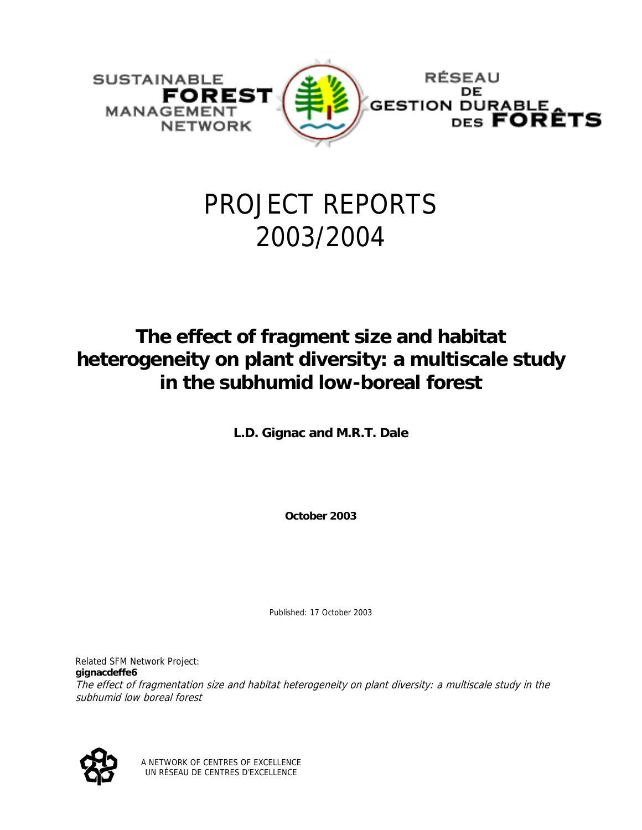

# PROJECT REPORTS 2003/2004

# **The effect of fragment size and habitat heterogeneity on plant diversity: a multiscale study in the subhumid low-boreal forest**

**L.D. Gignac and M.R.T. Dale** 

**October 2003** 

Published: 17 October 2003

Related SFM Network Project: **gignacdeffe6** The effect of fragmentation size and habitat heterogeneity on plant diversity: a multiscale study in the subhumid low boreal forest



A NETWORK OF CENTRES OF EXCELLENCE UN RÉSEAU DE CENTRES D'EXCELLENCE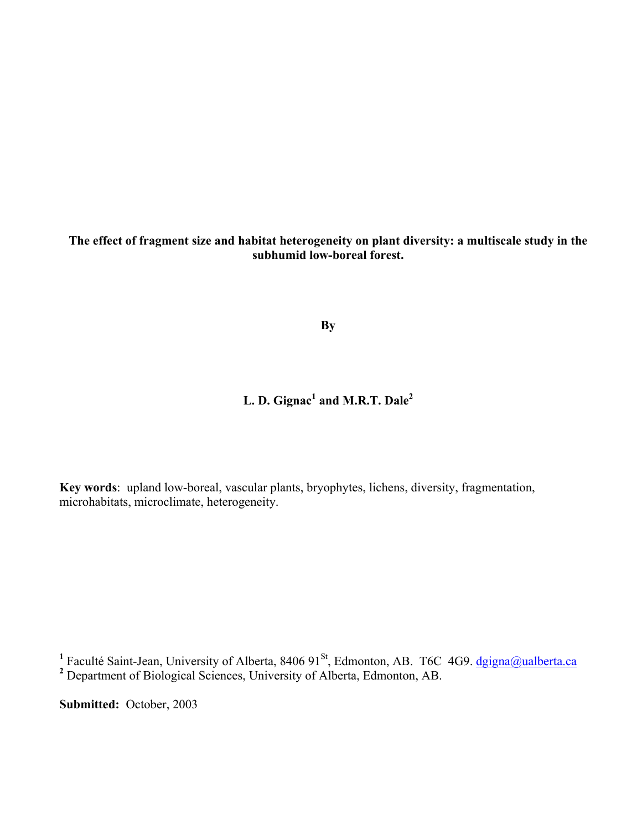**The effect of fragment size and habitat heterogeneity on plant diversity: a multiscale study in the subhumid low-boreal forest.** 

**By** 

# **L. D. Gignac<sup>1</sup> and M.R.T. Dale2**

**Key words**: upland low-boreal, vascular plants, bryophytes, lichens, diversity, fragmentation, microhabitats, microclimate, heterogeneity.

<sup>1</sup> Faculté Saint-Jean, University of Alberta, 8406 91<sup>St</sup>, Edmonton, AB. T6C 4G9. <u>dgigna@ualberta.ca</u> **2** Department of Biological Sciences, University of Alberta, Edmonton, AB.

**Submitted:** October, 2003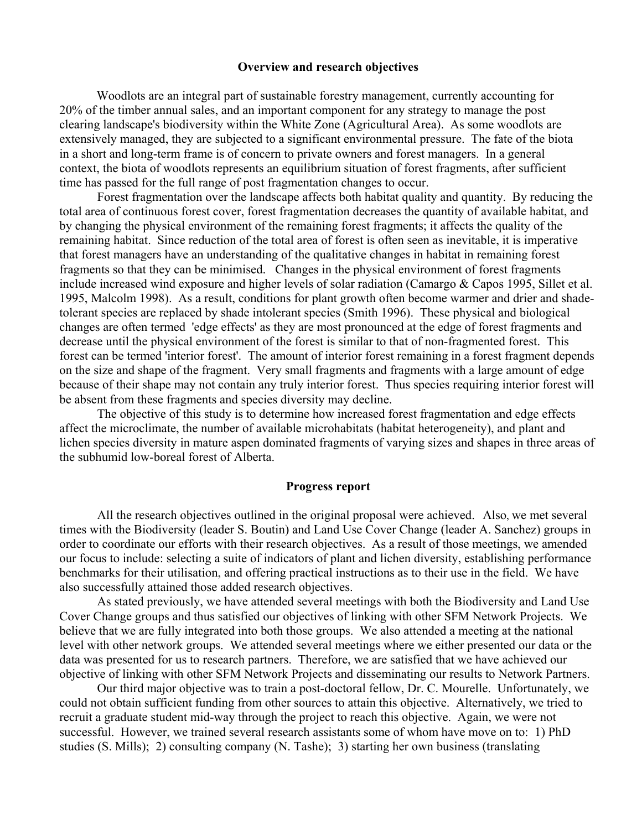#### **Overview and research objectives**

Woodlots are an integral part of sustainable forestry management, currently accounting for 20% of the timber annual sales, and an important component for any strategy to manage the post clearing landscape's biodiversity within the White Zone (Agricultural Area). As some woodlots are extensively managed, they are subjected to a significant environmental pressure. The fate of the biota in a short and long-term frame is of concern to private owners and forest managers. In a general context, the biota of woodlots represents an equilibrium situation of forest fragments, after sufficient time has passed for the full range of post fragmentation changes to occur.

Forest fragmentation over the landscape affects both habitat quality and quantity. By reducing the total area of continuous forest cover, forest fragmentation decreases the quantity of available habitat, and by changing the physical environment of the remaining forest fragments; it affects the quality of the remaining habitat. Since reduction of the total area of forest is often seen as inevitable, it is imperative that forest managers have an understanding of the qualitative changes in habitat in remaining forest fragments so that they can be minimised. Changes in the physical environment of forest fragments include increased wind exposure and higher levels of solar radiation (Camargo & Capos 1995, Sillet et al. 1995, Malcolm 1998). As a result, conditions for plant growth often become warmer and drier and shadetolerant species are replaced by shade intolerant species (Smith 1996). These physical and biological changes are often termed 'edge effects' as they are most pronounced at the edge of forest fragments and decrease until the physical environment of the forest is similar to that of non-fragmented forest. This forest can be termed 'interior forest'. The amount of interior forest remaining in a forest fragment depends on the size and shape of the fragment. Very small fragments and fragments with a large amount of edge because of their shape may not contain any truly interior forest. Thus species requiring interior forest will be absent from these fragments and species diversity may decline.

The objective of this study is to determine how increased forest fragmentation and edge effects affect the microclimate, the number of available microhabitats (habitat heterogeneity), and plant and lichen species diversity in mature aspen dominated fragments of varying sizes and shapes in three areas of the subhumid low-boreal forest of Alberta.

#### **Progress report**

All the research objectives outlined in the original proposal were achieved. Also, we met several times with the Biodiversity (leader S. Boutin) and Land Use Cover Change (leader A. Sanchez) groups in order to coordinate our efforts with their research objectives. As a result of those meetings, we amended our focus to include: selecting a suite of indicators of plant and lichen diversity, establishing performance benchmarks for their utilisation, and offering practical instructions as to their use in the field. We have also successfully attained those added research objectives.

As stated previously, we have attended several meetings with both the Biodiversity and Land Use Cover Change groups and thus satisfied our objectives of linking with other SFM Network Projects. We believe that we are fully integrated into both those groups. We also attended a meeting at the national level with other network groups. We attended several meetings where we either presented our data or the data was presented for us to research partners. Therefore, we are satisfied that we have achieved our objective of linking with other SFM Network Projects and disseminating our results to Network Partners.

Our third major objective was to train a post-doctoral fellow, Dr. C. Mourelle. Unfortunately, we could not obtain sufficient funding from other sources to attain this objective. Alternatively, we tried to recruit a graduate student mid-way through the project to reach this objective. Again, we were not successful. However, we trained several research assistants some of whom have move on to: 1) PhD studies (S. Mills); 2) consulting company (N. Tashe); 3) starting her own business (translating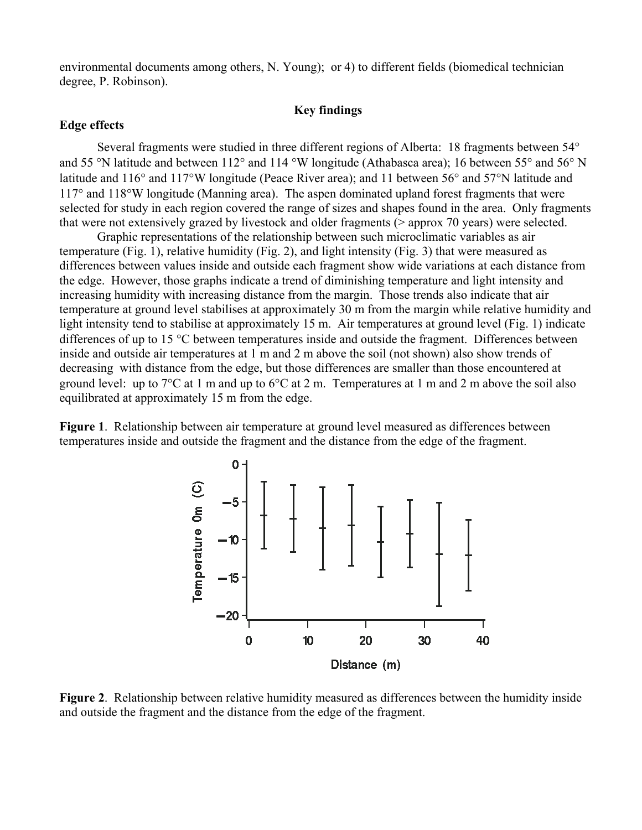environmental documents among others, N. Young); or 4) to different fields (biomedical technician degree, P. Robinson).

## **Key findings**

#### **Edge effects**

Several fragments were studied in three different regions of Alberta: 18 fragments between 54° and 55 °N latitude and between 112° and 114 °W longitude (Athabasca area); 16 between 55° and 56° N latitude and 116° and 117°W longitude (Peace River area); and 11 between 56° and 57°N latitude and 117° and 118°W longitude (Manning area). The aspen dominated upland forest fragments that were selected for study in each region covered the range of sizes and shapes found in the area. Only fragments that were not extensively grazed by livestock and older fragments (> approx 70 years) were selected.

Graphic representations of the relationship between such microclimatic variables as air temperature (Fig. 1), relative humidity (Fig. 2), and light intensity (Fig. 3) that were measured as differences between values inside and outside each fragment show wide variations at each distance from the edge. However, those graphs indicate a trend of diminishing temperature and light intensity and increasing humidity with increasing distance from the margin. Those trends also indicate that air temperature at ground level stabilises at approximately 30 m from the margin while relative humidity and light intensity tend to stabilise at approximately 15 m. Air temperatures at ground level (Fig. 1) indicate differences of up to 15 °C between temperatures inside and outside the fragment. Differences between inside and outside air temperatures at 1 m and 2 m above the soil (not shown) also show trends of decreasing with distance from the edge, but those differences are smaller than those encountered at ground level: up to 7°C at 1 m and up to 6°C at 2 m. Temperatures at 1 m and 2 m above the soil also equilibrated at approximately 15 m from the edge.

**Figure 1**. Relationship between air temperature at ground level measured as differences between temperatures inside and outside the fragment and the distance from the edge of the fragment.



**Figure 2**. Relationship between relative humidity measured as differences between the humidity inside and outside the fragment and the distance from the edge of the fragment.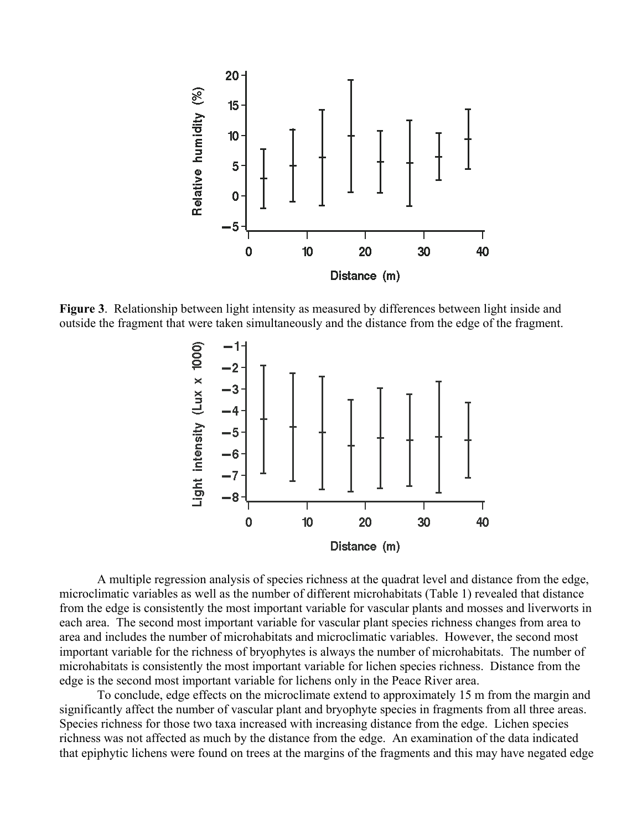

**Figure 3**. Relationship between light intensity as measured by differences between light inside and outside the fragment that were taken simultaneously and the distance from the edge of the fragment.



A multiple regression analysis of species richness at the quadrat level and distance from the edge, microclimatic variables as well as the number of different microhabitats (Table 1) revealed that distance from the edge is consistently the most important variable for vascular plants and mosses and liverworts in each area. The second most important variable for vascular plant species richness changes from area to area and includes the number of microhabitats and microclimatic variables. However, the second most important variable for the richness of bryophytes is always the number of microhabitats. The number of microhabitats is consistently the most important variable for lichen species richness. Distance from the edge is the second most important variable for lichens only in the Peace River area.

To conclude, edge effects on the microclimate extend to approximately 15 m from the margin and significantly affect the number of vascular plant and bryophyte species in fragments from all three areas. Species richness for those two taxa increased with increasing distance from the edge. Lichen species richness was not affected as much by the distance from the edge. An examination of the data indicated that epiphytic lichens were found on trees at the margins of the fragments and this may have negated edge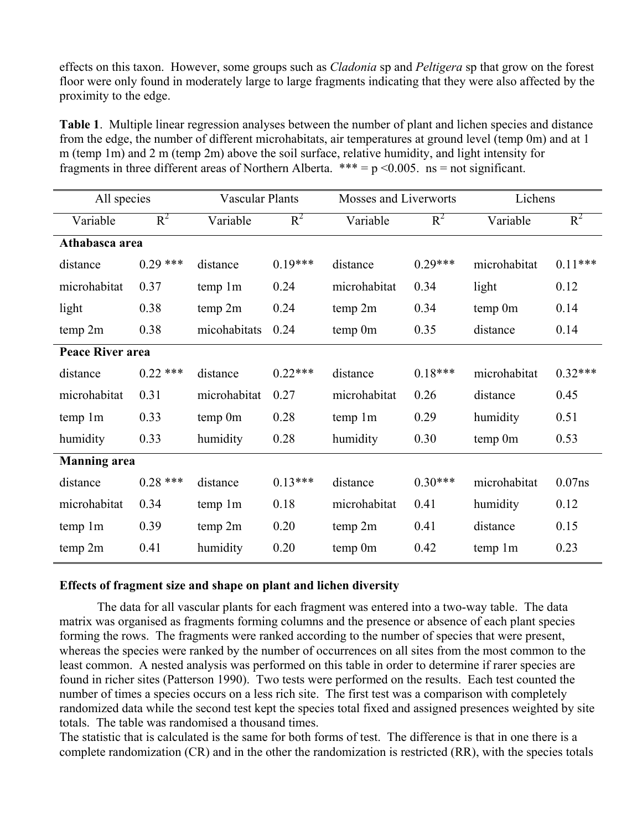effects on this taxon. However, some groups such as *Cladonia* sp and *Peltigera* sp that grow on the forest floor were only found in moderately large to large fragments indicating that they were also affected by the proximity to the edge.

**Table 1**. Multiple linear regression analyses between the number of plant and lichen species and distance from the edge, the number of different microhabitats, air temperatures at ground level (temp 0m) and at 1 m (temp 1m) and 2 m (temp 2m) above the soil surface, relative humidity, and light intensity for fragments in three different areas of Northern Alberta. \*\*\* =  $p$  < 0.005. ns = not significant.

| All species             |            | <b>Vascular Plants</b> |           | Mosses and Liverworts |           | Lichens      |           |  |  |  |  |
|-------------------------|------------|------------------------|-----------|-----------------------|-----------|--------------|-----------|--|--|--|--|
| Variable                | $R^2$      | Variable               | $R^2$     | Variable              | $R^2$     | Variable     | $R^2$     |  |  |  |  |
| Athabasca area          |            |                        |           |                       |           |              |           |  |  |  |  |
| distance                | $0.29$ *** | distance               | $0.19***$ | distance              | $0.29***$ | microhabitat | $0.11***$ |  |  |  |  |
| microhabitat            | 0.37       | temp 1m                | 0.24      | microhabitat          | 0.34      | light        | 0.12      |  |  |  |  |
| light                   | 0.38       | temp 2m                | 0.24      | temp 2m               | 0.34      | temp 0m      | 0.14      |  |  |  |  |
| temp 2m                 | 0.38       | micohabitats           | 0.24      | temp 0m               | 0.35      | distance     | 0.14      |  |  |  |  |
| <b>Peace River area</b> |            |                        |           |                       |           |              |           |  |  |  |  |
| distance                | $0.22$ *** | distance               | $0.22***$ | distance              | $0.18***$ | microhabitat | $0.32***$ |  |  |  |  |
| microhabitat            | 0.31       | microhabitat           | 0.27      | microhabitat          | 0.26      | distance     | 0.45      |  |  |  |  |
| temp 1m                 | 0.33       | temp 0m                | 0.28      | temp 1m               | 0.29      | humidity     | 0.51      |  |  |  |  |
| humidity                | 0.33       | humidity               | 0.28      | humidity              | 0.30      | temp 0m      | 0.53      |  |  |  |  |
| <b>Manning</b> area     |            |                        |           |                       |           |              |           |  |  |  |  |
| distance                | $0.28$ *** | distance               | $0.13***$ | distance              | $0.30***$ | microhabitat | $0.07$ ns |  |  |  |  |
| microhabitat            | 0.34       | temp 1m                | 0.18      | microhabitat          | 0.41      | humidity     | 0.12      |  |  |  |  |
| temp 1m                 | 0.39       | temp 2m                | 0.20      | temp 2m               | 0.41      | distance     | 0.15      |  |  |  |  |
| temp 2m                 | 0.41       | humidity               | 0.20      | temp 0m               | 0.42      | temp 1m      | 0.23      |  |  |  |  |

### **Effects of fragment size and shape on plant and lichen diversity**

The data for all vascular plants for each fragment was entered into a two-way table. The data matrix was organised as fragments forming columns and the presence or absence of each plant species forming the rows. The fragments were ranked according to the number of species that were present, whereas the species were ranked by the number of occurrences on all sites from the most common to the least common. A nested analysis was performed on this table in order to determine if rarer species are found in richer sites (Patterson 1990). Two tests were performed on the results. Each test counted the number of times a species occurs on a less rich site. The first test was a comparison with completely randomized data while the second test kept the species total fixed and assigned presences weighted by site totals. The table was randomised a thousand times.

The statistic that is calculated is the same for both forms of test. The difference is that in one there is a complete randomization (CR) and in the other the randomization is restricted (RR), with the species totals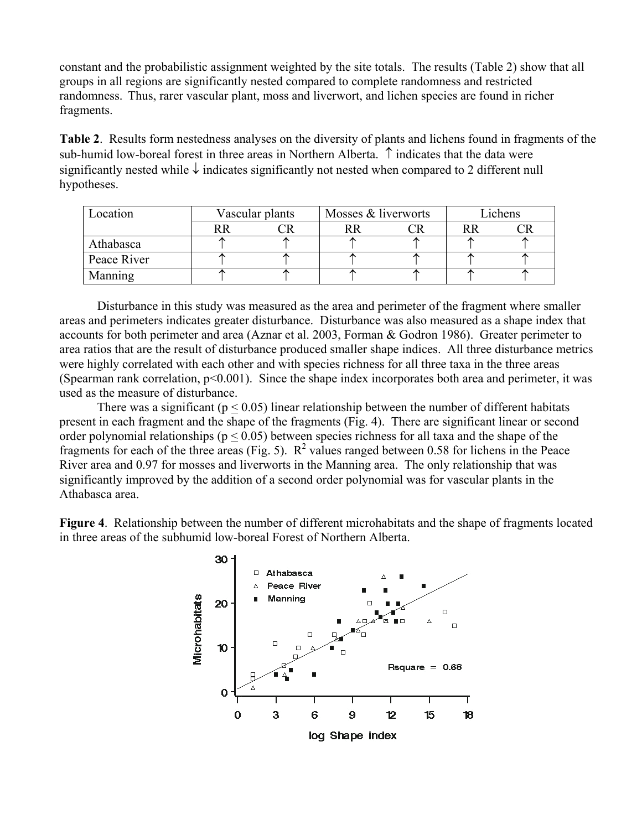constant and the probabilistic assignment weighted by the site totals. The results (Table 2) show that all groups in all regions are significantly nested compared to complete randomness and restricted randomness. Thus, rarer vascular plant, moss and liverwort, and lichen species are found in richer fragments.

**Table 2**. Results form nestedness analyses on the diversity of plants and lichens found in fragments of the sub-humid low-boreal forest in three areas in Northern Alberta. ↑ indicates that the data were significantly nested while ↓ indicates significantly not nested when compared to 2 different null hypotheses.

| Location       | Vascular plants |  | Mosses & liverworts |  | Lichens |  |
|----------------|-----------------|--|---------------------|--|---------|--|
|                |                 |  |                     |  |         |  |
| Athabasca      |                 |  |                     |  |         |  |
| Peace River    |                 |  |                     |  |         |  |
| <b>Manning</b> |                 |  |                     |  |         |  |

Disturbance in this study was measured as the area and perimeter of the fragment where smaller areas and perimeters indicates greater disturbance. Disturbance was also measured as a shape index that accounts for both perimeter and area (Aznar et al. 2003, Forman & Godron 1986). Greater perimeter to area ratios that are the result of disturbance produced smaller shape indices. All three disturbance metrics were highly correlated with each other and with species richness for all three taxa in the three areas (Spearman rank correlation,  $p<0.001$ ). Since the shape index incorporates both area and perimeter, it was used as the measure of disturbance.

There was a significant ( $p < 0.05$ ) linear relationship between the number of different habitats present in each fragment and the shape of the fragments (Fig. 4). There are significant linear or second order polynomial relationships ( $p < 0.05$ ) between species richness for all taxa and the shape of the fragments for each of the three areas (Fig. 5).  $R^2$  values ranged between 0.58 for lichens in the Peace River area and 0.97 for mosses and liverworts in the Manning area. The only relationship that was significantly improved by the addition of a second order polynomial was for vascular plants in the Athabasca area.

**Figure 4**. Relationship between the number of different microhabitats and the shape of fragments located in three areas of the subhumid low-boreal Forest of Northern Alberta.

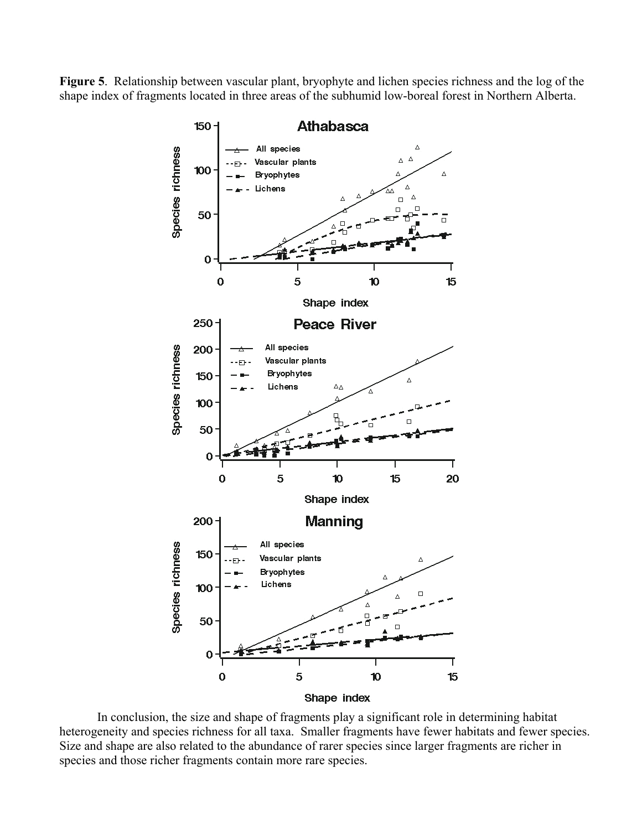**Figure 5**. Relationship between vascular plant, bryophyte and lichen species richness and the log of the shape index of fragments located in three areas of the subhumid low-boreal forest in Northern Alberta.



In conclusion, the size and shape of fragments play a significant role in determining habitat heterogeneity and species richness for all taxa. Smaller fragments have fewer habitats and fewer species. Size and shape are also related to the abundance of rarer species since larger fragments are richer in species and those richer fragments contain more rare species.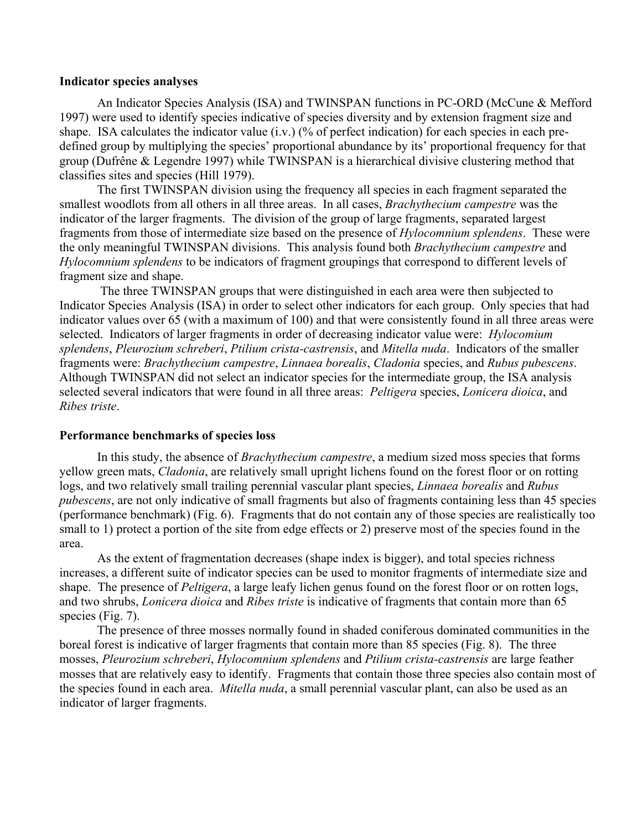#### **Indicator species analyses**

An Indicator Species Analysis (ISA) and TWINSPAN functions in PC-ORD (McCune & Mefford 1997) were used to identify species indicative of species diversity and by extension fragment size and shape. ISA calculates the indicator value (i.v.) (% of perfect indication) for each species in each predefined group by multiplying the species' proportional abundance by its' proportional frequency for that group (Dufrêne & Legendre 1997) while TWINSPAN is a hierarchical divisive clustering method that classifies sites and species (Hill 1979).

The first TWINSPAN division using the frequency all species in each fragment separated the smallest woodlots from all others in all three areas. In all cases, *Brachythecium campestre* was the indicator of the larger fragments. The division of the group of large fragments, separated largest fragments from those of intermediate size based on the presence of *Hylocomnium splendens*. These were the only meaningful TWINSPAN divisions. This analysis found both *Brachythecium campestre* and *Hylocomnium splendens* to be indicators of fragment groupings that correspond to different levels of fragment size and shape.

 The three TWINSPAN groups that were distinguished in each area were then subjected to Indicator Species Analysis (ISA) in order to select other indicators for each group. Only species that had indicator values over 65 (with a maximum of 100) and that were consistently found in all three areas were selected. Indicators of larger fragments in order of decreasing indicator value were: *Hylocomium splendens*, *Pleurozium schreberi*, *Ptilium crista-castrensis*, and *Mitella nuda*. Indicators of the smaller fragments were: *Brachythecium campestre*, *Linnaea borealis*, *Cladonia* species, and *Rubus pubescens*. Although TWINSPAN did not select an indicator species for the intermediate group, the ISA analysis selected several indicators that were found in all three areas: *Peltigera* species, *Lonicera dioica*, and *Ribes triste*.

#### **Performance benchmarks of species loss**

In this study, the absence of *Brachythecium campestre*, a medium sized moss species that forms yellow green mats, *Cladonia*, are relatively small upright lichens found on the forest floor or on rotting logs, and two relatively small trailing perennial vascular plant species, *Linnaea borealis* and *Rubus pubescens*, are not only indicative of small fragments but also of fragments containing less than 45 species (performance benchmark) (Fig. 6). Fragments that do not contain any of those species are realistically too small to 1) protect a portion of the site from edge effects or 2) preserve most of the species found in the area.

As the extent of fragmentation decreases (shape index is bigger), and total species richness increases, a different suite of indicator species can be used to monitor fragments of intermediate size and shape. The presence of *Peltigera*, a large leafy lichen genus found on the forest floor or on rotten logs, and two shrubs, *Lonicera dioica* and *Ribes triste* is indicative of fragments that contain more than 65 species (Fig. 7).

The presence of three mosses normally found in shaded coniferous dominated communities in the boreal forest is indicative of larger fragments that contain more than 85 species (Fig. 8). The three mosses, *Pleurozium schreberi*, *Hylocomnium splendens* and *Ptilium crista-castrensis* are large feather mosses that are relatively easy to identify. Fragments that contain those three species also contain most of the species found in each area. *Mitella nuda*, a small perennial vascular plant, can also be used as an indicator of larger fragments.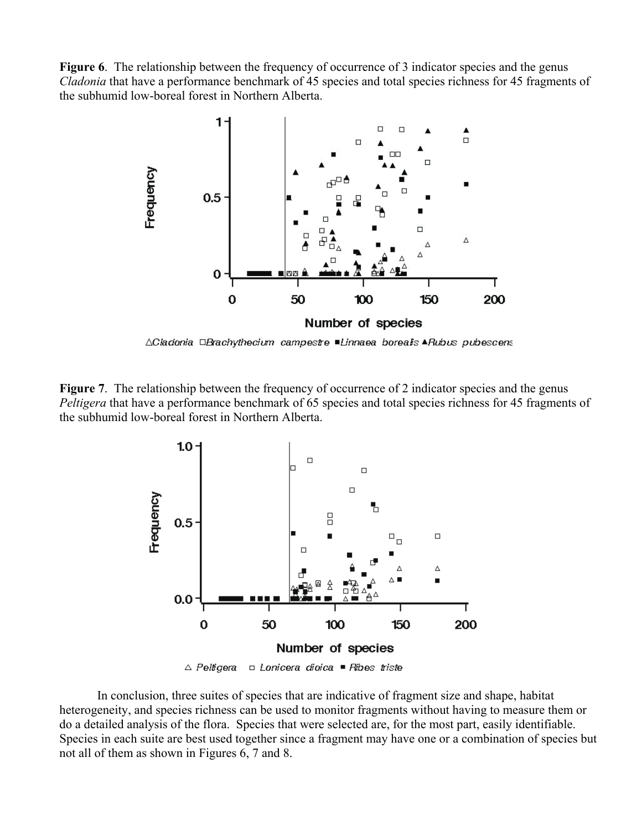**Figure 6.** The relationship between the frequency of occurrence of 3 indicator species and the genus *Cladonia* that have a performance benchmark of 45 species and total species richness for 45 fragments of the subhumid low-boreal forest in Northern Alberta.



∆Cladonia □Brachythecium campestre ■Linnaea borealis ▲Rubus pubescens

**Figure 7.** The relationship between the frequency of occurrence of 2 indicator species and the genus *Peltigera* that have a performance benchmark of 65 species and total species richness for 45 fragments of the subhumid low-boreal forest in Northern Alberta.



 $\triangle$  Peltigera  $\Box$  Lonicera dioica  $\blacksquare$  Ribes triste

In conclusion, three suites of species that are indicative of fragment size and shape, habitat heterogeneity, and species richness can be used to monitor fragments without having to measure them or do a detailed analysis of the flora. Species that were selected are, for the most part, easily identifiable. Species in each suite are best used together since a fragment may have one or a combination of species but not all of them as shown in Figures 6, 7 and 8.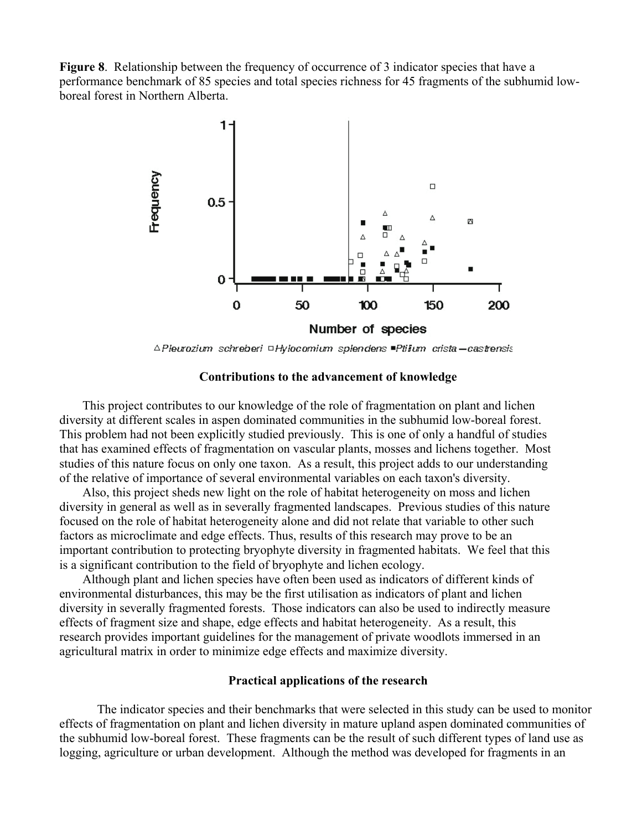**Figure 8.** Relationship between the frequency of occurrence of 3 indicator species that have a performance benchmark of 85 species and total species richness for 45 fragments of the subhumid lowboreal forest in Northern Alberta.



∆Pleurozium schreberi □Hylocomium splendens ■Ptilum crista-castrensis

#### **Contributions to the advancement of knowledge**

This project contributes to our knowledge of the role of fragmentation on plant and lichen diversity at different scales in aspen dominated communities in the subhumid low-boreal forest. This problem had not been explicitly studied previously. This is one of only a handful of studies that has examined effects of fragmentation on vascular plants, mosses and lichens together. Most studies of this nature focus on only one taxon. As a result, this project adds to our understanding of the relative of importance of several environmental variables on each taxon's diversity.

Also, this project sheds new light on the role of habitat heterogeneity on moss and lichen diversity in general as well as in severally fragmented landscapes. Previous studies of this nature focused on the role of habitat heterogeneity alone and did not relate that variable to other such factors as microclimate and edge effects. Thus, results of this research may prove to be an important contribution to protecting bryophyte diversity in fragmented habitats. We feel that this is a significant contribution to the field of bryophyte and lichen ecology.

Although plant and lichen species have often been used as indicators of different kinds of environmental disturbances, this may be the first utilisation as indicators of plant and lichen diversity in severally fragmented forests. Those indicators can also be used to indirectly measure effects of fragment size and shape, edge effects and habitat heterogeneity. As a result, this research provides important guidelines for the management of private woodlots immersed in an agricultural matrix in order to minimize edge effects and maximize diversity.

#### **Practical applications of the research**

The indicator species and their benchmarks that were selected in this study can be used to monitor effects of fragmentation on plant and lichen diversity in mature upland aspen dominated communities of the subhumid low-boreal forest. These fragments can be the result of such different types of land use as logging, agriculture or urban development. Although the method was developed for fragments in an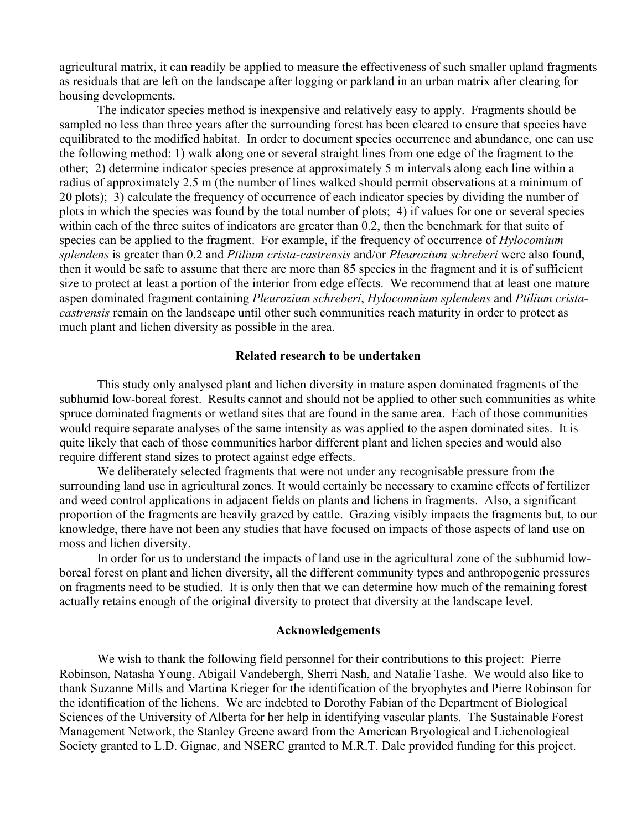agricultural matrix, it can readily be applied to measure the effectiveness of such smaller upland fragments as residuals that are left on the landscape after logging or parkland in an urban matrix after clearing for housing developments.

The indicator species method is inexpensive and relatively easy to apply. Fragments should be sampled no less than three years after the surrounding forest has been cleared to ensure that species have equilibrated to the modified habitat. In order to document species occurrence and abundance, one can use the following method: 1) walk along one or several straight lines from one edge of the fragment to the other; 2) determine indicator species presence at approximately 5 m intervals along each line within a radius of approximately 2.5 m (the number of lines walked should permit observations at a minimum of 20 plots); 3) calculate the frequency of occurrence of each indicator species by dividing the number of plots in which the species was found by the total number of plots; 4) if values for one or several species within each of the three suites of indicators are greater than 0.2, then the benchmark for that suite of species can be applied to the fragment. For example, if the frequency of occurrence of *Hylocomium splendens* is greater than 0.2 and *Ptilium crista-castrensis* and/or *Pleurozium schreberi* were also found, then it would be safe to assume that there are more than 85 species in the fragment and it is of sufficient size to protect at least a portion of the interior from edge effects. We recommend that at least one mature aspen dominated fragment containing *Pleurozium schreberi*, *Hylocomnium splendens* and *Ptilium cristacastrensis* remain on the landscape until other such communities reach maturity in order to protect as much plant and lichen diversity as possible in the area.

#### **Related research to be undertaken**

This study only analysed plant and lichen diversity in mature aspen dominated fragments of the subhumid low-boreal forest. Results cannot and should not be applied to other such communities as white spruce dominated fragments or wetland sites that are found in the same area. Each of those communities would require separate analyses of the same intensity as was applied to the aspen dominated sites. It is quite likely that each of those communities harbor different plant and lichen species and would also require different stand sizes to protect against edge effects.

We deliberately selected fragments that were not under any recognisable pressure from the surrounding land use in agricultural zones. It would certainly be necessary to examine effects of fertilizer and weed control applications in adjacent fields on plants and lichens in fragments. Also, a significant proportion of the fragments are heavily grazed by cattle. Grazing visibly impacts the fragments but, to our knowledge, there have not been any studies that have focused on impacts of those aspects of land use on moss and lichen diversity.

In order for us to understand the impacts of land use in the agricultural zone of the subhumid lowboreal forest on plant and lichen diversity, all the different community types and anthropogenic pressures on fragments need to be studied. It is only then that we can determine how much of the remaining forest actually retains enough of the original diversity to protect that diversity at the landscape level.

#### **Acknowledgements**

We wish to thank the following field personnel for their contributions to this project: Pierre Robinson, Natasha Young, Abigail Vandebergh, Sherri Nash, and Natalie Tashe. We would also like to thank Suzanne Mills and Martina Krieger for the identification of the bryophytes and Pierre Robinson for the identification of the lichens. We are indebted to Dorothy Fabian of the Department of Biological Sciences of the University of Alberta for her help in identifying vascular plants. The Sustainable Forest Management Network, the Stanley Greene award from the American Bryological and Lichenological Society granted to L.D. Gignac, and NSERC granted to M.R.T. Dale provided funding for this project.